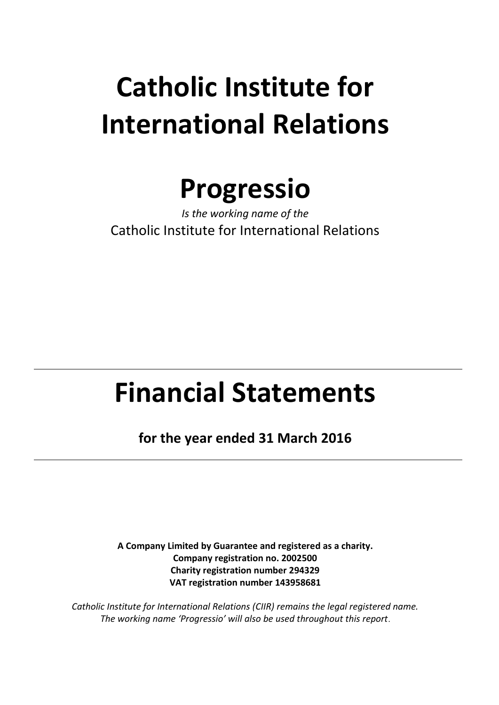

*Is the working name of the* Catholic Institute for International Relations

# **Financial Statements**

**for the year ended 31 March 2016**

**A Company Limited by Guarantee and registered as a charity. Company registration no. 2002500 Charity registration number 294329 VAT registration number 143958681**

*Catholic Institute for International Relations (CIIR) remains the legal registered name. The working name 'Progressio' will also be used throughout this report.*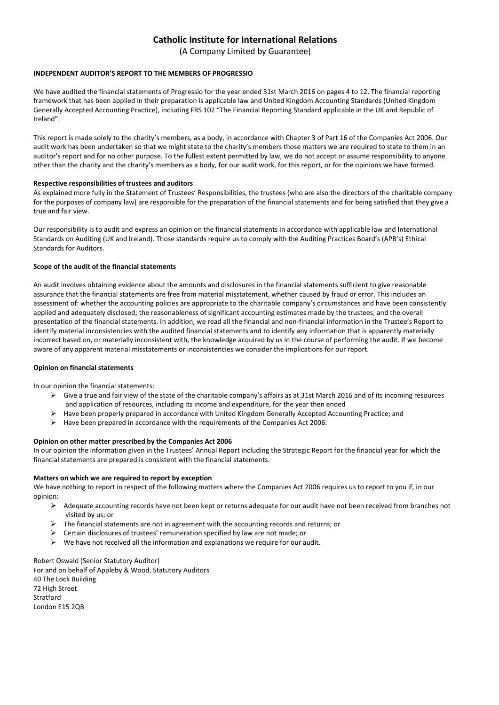(A Company Limited by Guarantee)

### **INDEPENDENT AUDITOR'S REPORT TO THE MEMBERS OF PROGRESSIO**

We have audited the financial statements of Progressio for the year ended 31st March 2016 on pages 4 to 12. The financial reporting framework that has been applied in their preparation is applicable law and United Kingdom Accounting Standards (United Kingdom Generally Accepted Accounting Practice), including FRS 102 "The Financial Reporting Standard applicable in the UK and Republic of Ireland".

This report is made solely to the charity's members, as a body, in accordance with Chapter 3 of Part 16 of the Companies Act 2006. Our audit work has been undertaken so that we might state to the charity's members those matters we are required to state to them in an auditor's report and for no other purpose. To the fullest extent permitted by law, we do not accept or assume responsibility to anyone other than the charity and the charity's members as a body, for our audit work, for this report, or for the opinions we have formed.

### **Respective responsibilities of trustees and auditors**

As explained more fully in the Statement of Trustees' Responsibilities, the trustees (who are also the directors of the charitable company for the purposes of company law) are responsible for the preparation of the financial statements and for being satisfied that they give a true and fair view.

Our responsibility is to audit and express an opinion on the financial statements in accordance with applicable law and International Standards on Auditing (UK and Ireland). Those standards require us to comply with the Auditing Practices Board's (APB's) Ethical Standards for Auditors.

### **Scope of the audit of the financial statements**

An audit involves obtaining evidence about the amounts and disclosures in the financial statements sufficient to give reasonable assurance that the financial statements are free from material misstatement, whether caused by fraud or error. This includes an assessment of: whether the accounting policies are appropriate to the charitable company's circumstances and have been consistently applied and adequately disclosed; the reasonableness of significant accounting estimates made by the trustees; and the overall presentation of the financial statements. In addition, we read all the financial and non-financial information in the Trustee's Report to identify material inconsistencies with the audited financial statements and to identify any information that is apparently materially incorrect based on, or materially inconsistent with, the knowledge acquired by us in the course of performing the audit. If we become aware of any apparent material misstatements or inconsistencies we consider the implications for our report.

### **Opinion on financial statements**

In our opinion the financial statements:

- $\triangleright$  Give a true and fair view of the state of the charitable company's affairs as at 31st March 2016 and of its incoming resources and application of resources, including its income and expenditure, for the year then ended
- Have been properly prepared in accordance with United Kingdom Generally Accepted Accounting Practice; and
- $\triangleright$  Have been prepared in accordance with the requirements of the Companies Act 2006.

### **Opinion on other matter prescribed by the Companies Act 2006**

In our opinion the information given in the Trustees' Annual Report including the Strategic Report for the financial year for which the financial statements are prepared is consistent with the financial statements.

### **Matters on which we are required to report by exception**

We have nothing to report in respect of the following matters where the Companies Act 2006 requires us to report to you if, in our opinion:

- $\triangleright$  Adequate accounting records have not been kept or returns adequate for our audit have not been received from branches not visited by us; or
- $\triangleright$  The financial statements are not in agreement with the accounting records and returns; or
- Certain disclosures of trustees' remuneration specified by law are not made; or
- $\triangleright$  We have not received all the information and explanations we require for our audit.

Robert Oswald (Senior Statutory Auditor) For and on behalf of Appleby & Wood, Statutory Auditors 40 The Lock Building 72 High Street Stratford London E15 2QB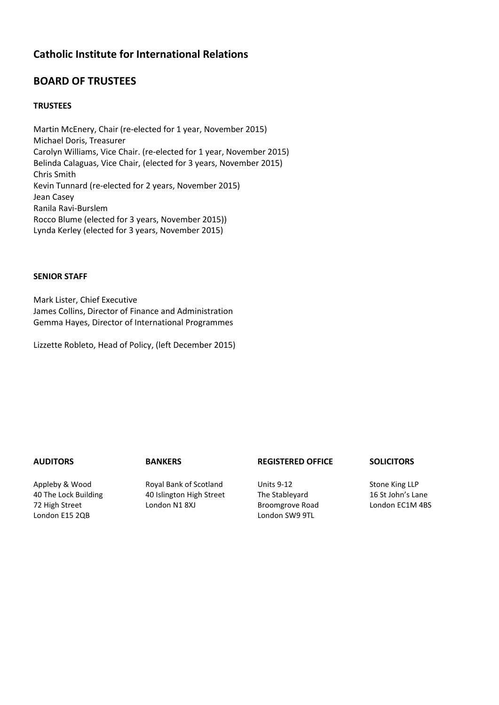### **BOARD OF TRUSTEES**

### **TRUSTEES**

Martin McEnery, Chair (re-elected for 1 year, November 2015) Michael Doris, Treasurer Carolyn Williams, Vice Chair. (re-elected for 1 year, November 2015) Belinda Calaguas, Vice Chair, (elected for 3 years, November 2015) Chris Smith Kevin Tunnard (re-elected for 2 years, November 2015) Jean Casey Ranila Ravi-Burslem Rocco Blume (elected for 3 years, November 2015)) Lynda Kerley (elected for 3 years, November 2015)

### **SENIOR STAFF**

Mark Lister, Chief Executive James Collins, Director of Finance and Administration Gemma Hayes, Director of International Programmes

Lizzette Robleto, Head of Policy, (left December 2015)

Appleby & Wood 40 The Lock Building 72 High Street London E15 2QB

Royal Bank of Scotland 40 Islington High Street London N1 8XJ

**AUDITORS BANKERS REGISTERED OFFICE SOLICITORS**

Units 9-12 The Stableyard Broomgrove Road London SW9 9TL

Stone King LLP 16 St John's Lane London EC1M 4BS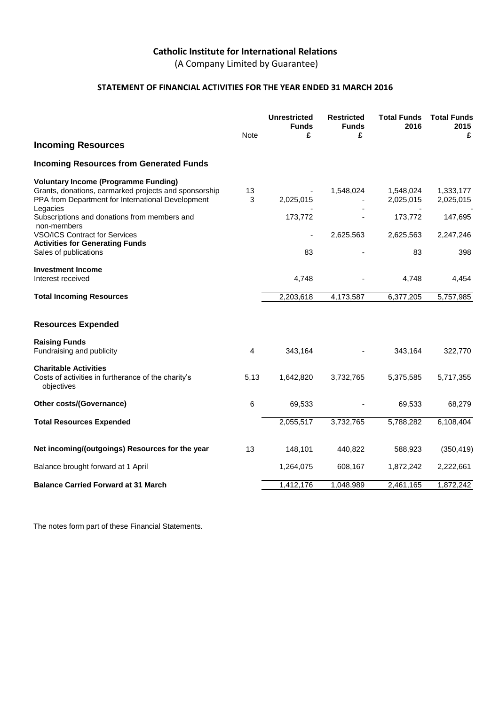(A Company Limited by Guarantee)

### **STATEMENT OF FINANCIAL ACTIVITIES FOR THE YEAR ENDED 31 MARCH 2016**

|                                                                                                                                                           | <b>Note</b>    | <b>Unrestricted</b><br><b>Funds</b><br>£ | <b>Restricted</b><br><b>Funds</b><br>£ | <b>Total Funds</b><br>2016 | <b>Total Funds</b><br>2015<br>£ |
|-----------------------------------------------------------------------------------------------------------------------------------------------------------|----------------|------------------------------------------|----------------------------------------|----------------------------|---------------------------------|
| <b>Incoming Resources</b>                                                                                                                                 |                |                                          |                                        |                            |                                 |
| <b>Incoming Resources from Generated Funds</b>                                                                                                            |                |                                          |                                        |                            |                                 |
| <b>Voluntary Income (Programme Funding)</b><br>Grants, donations, earmarked projects and sponsorship<br>PPA from Department for International Development | 13<br>3        | 2,025,015                                | 1,548,024                              | 1,548,024<br>2,025,015     | 1,333,177<br>2,025,015          |
| Legacies<br>Subscriptions and donations from members and<br>non-members                                                                                   |                | 173,772                                  |                                        | 173,772                    | 147,695                         |
| <b>VSO/ICS Contract for Services</b><br><b>Activities for Generating Funds</b>                                                                            |                |                                          | 2,625,563                              | 2,625,563                  | 2,247,246                       |
| Sales of publications                                                                                                                                     |                | 83                                       |                                        | 83                         | 398                             |
| <b>Investment Income</b><br>Interest received                                                                                                             |                | 4,748                                    |                                        | 4,748                      | 4,454                           |
| <b>Total Incoming Resources</b>                                                                                                                           |                | 2,203,618                                | 4,173,587                              | 6,377,205                  | 5,757,985                       |
| <b>Resources Expended</b>                                                                                                                                 |                |                                          |                                        |                            |                                 |
| <b>Raising Funds</b><br>Fundraising and publicity                                                                                                         | $\overline{4}$ | 343,164                                  |                                        | 343,164                    | 322,770                         |
| <b>Charitable Activities</b><br>Costs of activities in furtherance of the charity's<br>objectives                                                         | 5,13           | 1,642,820                                | 3,732,765                              | 5,375,585                  | 5,717,355                       |
| Other costs/(Governance)                                                                                                                                  | 6              | 69,533                                   |                                        | 69,533                     | 68,279                          |
| <b>Total Resources Expended</b>                                                                                                                           |                | 2,055,517                                | 3,732,765                              | 5,788,282                  | 6,108,404                       |
| Net incoming/(outgoings) Resources for the year                                                                                                           | 13             | 148,101                                  | 440,822                                | 588,923                    | (350, 419)                      |
| Balance brought forward at 1 April                                                                                                                        |                | 1,264,075                                | 608,167                                | 1,872,242                  | 2,222,661                       |
| <b>Balance Carried Forward at 31 March</b>                                                                                                                |                | 1,412,176                                | 1,048,989                              | 2,461,165                  | 1,872,242                       |

The notes form part of these Financial Statements.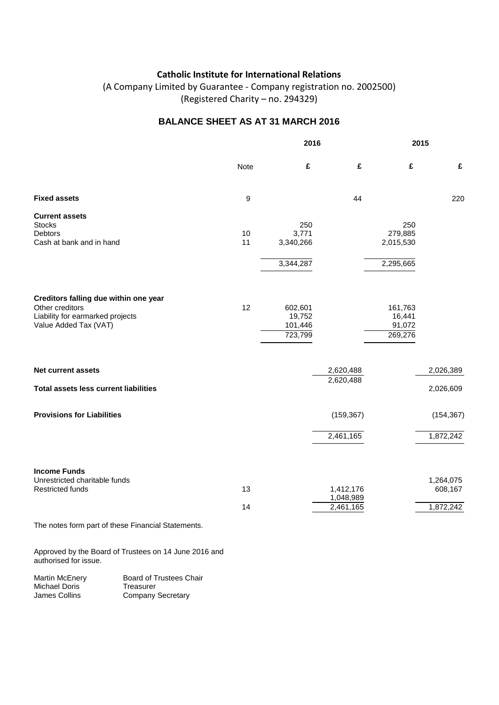(A Company Limited by Guarantee - Company registration no. 2002500) (Registered Charity – no. 294329)

### **BALANCE SHEET AS AT 31 MARCH 2016**

|                                                          |      | 2016      |                        |           | 2015       |  |
|----------------------------------------------------------|------|-----------|------------------------|-----------|------------|--|
|                                                          | Note | £         | £                      | £         | £          |  |
| <b>Fixed assets</b>                                      | 9    |           | 44                     |           | 220        |  |
| <b>Current assets</b><br><b>Stocks</b>                   |      | 250       |                        | 250       |            |  |
| Debtors                                                  | 10   | 3,771     |                        | 279,885   |            |  |
| Cash at bank and in hand                                 | 11   | 3,340,266 |                        | 2,015,530 |            |  |
|                                                          |      | 3,344,287 |                        | 2,295,665 |            |  |
|                                                          |      |           |                        |           |            |  |
| Creditors falling due within one year<br>Other creditors | 12   | 602,601   |                        | 161,763   |            |  |
| Liability for earmarked projects                         |      | 19,752    |                        | 16,441    |            |  |
| Value Added Tax (VAT)                                    |      | 101,446   |                        | 91,072    |            |  |
|                                                          |      | 723,799   |                        | 269,276   |            |  |
|                                                          |      |           |                        |           |            |  |
| Net current assets                                       |      |           | 2,620,488              |           | 2,026,389  |  |
| <b>Total assets less current liabilities</b>             |      |           | 2,620,488              |           | 2,026,609  |  |
| <b>Provisions for Liabilities</b>                        |      |           | (159, 367)             |           | (154, 367) |  |
|                                                          |      |           | 2,461,165              |           | 1,872,242  |  |
|                                                          |      |           |                        |           |            |  |
| <b>Income Funds</b><br>Unrestricted charitable funds     |      |           |                        |           | 1,264,075  |  |
| <b>Restricted funds</b>                                  | 13   |           | 1,412,176<br>1,048,989 |           | 608,167    |  |
|                                                          | 14   |           | 2,461,165              |           | 1,872,242  |  |
| The notes form part of these Financial Statements.       |      |           |                        |           |            |  |

Approved by the Board of Trustees on 14 June 2016 and authorised for issue.

| Martin McEnery | <b>Board of Trustees Chair</b> |
|----------------|--------------------------------|
| Michael Doris  | Treasurer                      |
| James Collins  | <b>Company Secretary</b>       |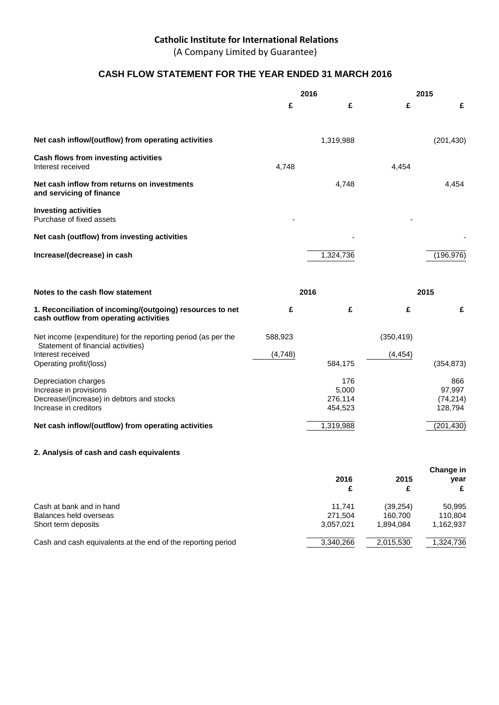(A Company Limited by Guarantee)

### **CASH FLOW STATEMENT FOR THE YEAR ENDED 31 MARCH 2016**

|                                                                                                     | 2016    |              | 2015       |                   |
|-----------------------------------------------------------------------------------------------------|---------|--------------|------------|-------------------|
|                                                                                                     | £       | £            | £          | £                 |
|                                                                                                     |         |              |            |                   |
| Net cash inflow/(outflow) from operating activities                                                 |         | 1,319,988    |            | (201, 430)        |
| Cash flows from investing activities<br>Interest received                                           | 4,748   |              | 4,454      |                   |
| Net cash inflow from returns on investments<br>and servicing of finance                             |         | 4,748        |            | 4,454             |
| <b>Investing activities</b><br>Purchase of fixed assets                                             |         |              |            |                   |
| Net cash (outflow) from investing activities                                                        |         |              |            |                   |
| Increase/(decrease) in cash                                                                         |         | 1,324,736    |            | (196, 976)        |
|                                                                                                     |         |              |            |                   |
| Notes to the cash flow statement                                                                    |         | 2016         |            | 2015              |
|                                                                                                     |         |              |            |                   |
| 1. Reconciliation of incoming/(outgoing) resources to net<br>cash outflow from operating activities | £       | £            | £          | £                 |
| Net income (expenditure) for the reporting period (as per the<br>Statement of financial activities) | 588,923 |              | (350, 419) |                   |
| Interest received<br>Operating profit/(loss)                                                        | (4,748) | 584,175      | (4, 454)   | (354, 873)        |
|                                                                                                     |         |              |            |                   |
| Depreciation charges<br>Increase in provisions                                                      |         | 176<br>5,000 |            | 866<br>97,997     |
| Decrease/(increase) in debtors and stocks                                                           |         | 276,114      |            | (74, 214)         |
| Increase in creditors                                                                               |         | 454,523      |            | 128,794           |
| Net cash inflow/(outflow) from operating activities                                                 |         | 1,319,988    |            | (201, 430)        |
| 2. Analysis of cash and cash equivalents                                                            |         |              |            |                   |
|                                                                                                     |         | 2016         | 2015       | Change in<br>year |

| Cash at bank and in hand                                     | 11.741    | (39.254)  | 50,995    |
|--------------------------------------------------------------|-----------|-----------|-----------|
| Balances held overseas                                       | 271.504   | 160.700   | 110.804   |
| Short term deposits                                          | 3.057.021 | 1.894.084 | 1,162,937 |
| Cash and cash equivalents at the end of the reporting period | 3,340,266 | 2,015,530 | 1,324,736 |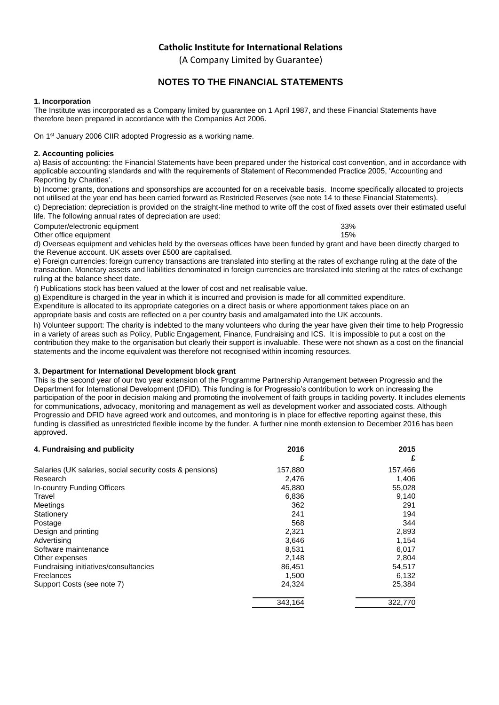(A Company Limited by Guarantee)

### **NOTES TO THE FINANCIAL STATEMENTS**

### **1. Incorporation**

The Institute was incorporated as a Company limited by guarantee on 1 April 1987, and these Financial Statements have therefore been prepared in accordance with the Companies Act 2006.

On 1st January 2006 CIIR adopted Progressio as a working name.

### **2. Accounting policies**

a) Basis of accounting: the Financial Statements have been prepared under the historical cost convention, and in accordance with applicable accounting standards and with the requirements of Statement of Recommended Practice 2005, 'Accounting and Reporting by Charities'.

b) Income: grants, donations and sponsorships are accounted for on a receivable basis. Income specifically allocated to projects not utilised at the year end has been carried forward as Restricted Reserves (see note 14 to these Financial Statements). c) Depreciation: depreciation is provided on the straight-line method to write off the cost of fixed assets over their estimated useful

life. The following annual rates of depreciation are used:

Computer/electronic equipment<br>
Other office equipment<br>
15% Other office equipment

d) Overseas equipment and vehicles held by the overseas offices have been funded by grant and have been directly charged to the Revenue account. UK assets over £500 are capitalised.

e) Foreign currencies: foreign currency transactions are translated into sterling at the rates of exchange ruling at the date of the transaction. Monetary assets and liabilities denominated in foreign currencies are translated into sterling at the rates of exchange ruling at the balance sheet date.

f) Publications stock has been valued at the lower of cost and net realisable value.

g) Expenditure is charged in the year in which it is incurred and provision is made for all committed expenditure.

Expenditure is allocated to its appropriate categories on a direct basis or where apportionment takes place on an

appropriate basis and costs are reflected on a per country basis and amalgamated into the UK accounts.

h) Volunteer support: The charity is indebted to the many volunteers who during the year have given their time to help Progressio in a variety of areas such as Policy, Public Engagement, Finance, Fundraising and ICS. It is impossible to put a cost on the contribution they make to the organisation but clearly their support is invaluable. These were not shown as a cost on the financial statements and the income equivalent was therefore not recognised within incoming resources.

### **3. Department for International Development block grant**

This is the second year of our two year extension of the Programme Partnership Arrangement between Progressio and the Department for International Development (DFID). This funding is for Progressio's contribution to work on increasing the participation of the poor in decision making and promoting the involvement of faith groups in tackling poverty. It includes elements for communications, advocacy, monitoring and management as well as development worker and associated costs. Although Progressio and DFID have agreed work and outcomes, and monitoring is in place for effective reporting against these, this funding is classified as unrestricted flexible income by the funder. A further nine month extension to December 2016 has been approved.

| 4. Fundraising and publicity                             | 2016    | 2015    |
|----------------------------------------------------------|---------|---------|
|                                                          | £       | £       |
| Salaries (UK salaries, social security costs & pensions) | 157,880 | 157,466 |
| Research                                                 | 2,476   | 1,406   |
| In-country Funding Officers                              | 45,880  | 55,028  |
| Travel                                                   | 6,836   | 9,140   |
| Meetings                                                 | 362     | 291     |
| Stationery                                               | 241     | 194     |
| Postage                                                  | 568     | 344     |
| Design and printing                                      | 2,321   | 2,893   |
| Advertising                                              | 3,646   | 1,154   |
| Software maintenance                                     | 8,531   | 6,017   |
| Other expenses                                           | 2,148   | 2,804   |
| Fundraising initiatives/consultancies                    | 86.451  | 54,517  |
| Freelances                                               | 1,500   | 6,132   |
| Support Costs (see note 7)                               | 24,324  | 25,384  |
|                                                          | 343,164 | 322,770 |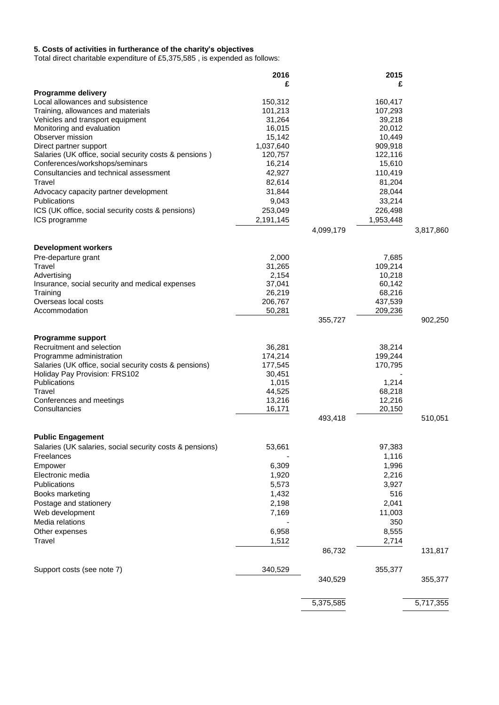#### **5. Costs of activities in furtherance of the charity's objectives**

Total direct charitable expenditure of £5,375,585 , is expended as follows:

|                                                          | 2016             |           | 2015             |           |
|----------------------------------------------------------|------------------|-----------|------------------|-----------|
|                                                          | £                |           | £                |           |
| Programme delivery<br>Local allowances and subsistence   | 150,312          |           | 160,417          |           |
| Training, allowances and materials                       | 101,213          |           | 107,293          |           |
| Vehicles and transport equipment                         | 31,264           |           | 39,218           |           |
| Monitoring and evaluation                                | 16,015           |           | 20,012           |           |
| Observer mission                                         | 15,142           |           | 10,449           |           |
| Direct partner support                                   | 1,037,640        |           | 909,918          |           |
| Salaries (UK office, social security costs & pensions)   | 120,757          |           | 122,116          |           |
| Conferences/workshops/seminars                           | 16,214           |           | 15,610           |           |
| Consultancies and technical assessment                   | 42,927           |           | 110,419          |           |
| Travel                                                   | 82,614           |           | 81,204           |           |
| Advocacy capacity partner development                    | 31,844           |           | 28,044           |           |
| Publications                                             | 9,043            |           | 33,214           |           |
| ICS (UK office, social security costs & pensions)        | 253,049          |           | 226,498          |           |
| ICS programme                                            | 2,191,145        |           | 1,953,448        |           |
|                                                          |                  | 4,099,179 |                  | 3,817,860 |
| <b>Development workers</b>                               |                  |           |                  |           |
| Pre-departure grant                                      | 2,000            |           | 7,685            |           |
| Travel                                                   | 31,265           |           | 109,214          |           |
| Advertising                                              | 2,154            |           | 10,218           |           |
| Insurance, social security and medical expenses          | 37,041           |           | 60,142           |           |
| Training                                                 | 26,219           |           | 68,216           |           |
| Overseas local costs                                     | 206,767          |           | 437,539          |           |
| Accommodation                                            | 50,281           | 355,727   | 209,236          | 902,250   |
|                                                          |                  |           |                  |           |
| Programme support                                        |                  |           |                  |           |
| Recruitment and selection                                | 36,281           |           | 38,214           |           |
| Programme administration                                 | 174,214          |           | 199,244          |           |
| Salaries (UK office, social security costs & pensions)   | 177,545          |           | 170,795          |           |
| Holiday Pay Provision: FRS102                            | 30,451           |           |                  |           |
| Publications                                             | 1,015            |           | 1,214            |           |
| Travel<br>Conferences and meetings                       | 44,525<br>13,216 |           | 68,218<br>12,216 |           |
| Consultancies                                            | 16,171           |           | 20,150           |           |
|                                                          |                  | 493,418   |                  | 510,051   |
|                                                          |                  |           |                  |           |
| <b>Public Engagement</b>                                 |                  |           |                  |           |
| Salaries (UK salaries, social security costs & pensions) | 53,661           |           | 97,383           |           |
| Freelances                                               |                  |           | 1,116            |           |
| Empower                                                  | 6,309            |           | 1,996            |           |
| Electronic media                                         | 1,920            |           | 2,216            |           |
| Publications                                             | 5,573            |           | 3,927            |           |
| Books marketing                                          | 1,432            |           | 516              |           |
| Postage and stationery                                   | 2,198            |           | 2,041            |           |
| Web development                                          | 7,169            |           | 11,003           |           |
| Media relations                                          |                  |           | 350              |           |
| Other expenses                                           | 6,958            |           | 8,555            |           |
| Travel                                                   | 1,512            |           | 2,714            |           |
|                                                          |                  | 86,732    |                  | 131,817   |
| Support costs (see note 7)                               | 340,529          |           | 355,377          |           |
|                                                          |                  | 340,529   |                  | 355,377   |
|                                                          |                  |           |                  |           |
|                                                          |                  | 5,375,585 |                  | 5,717,355 |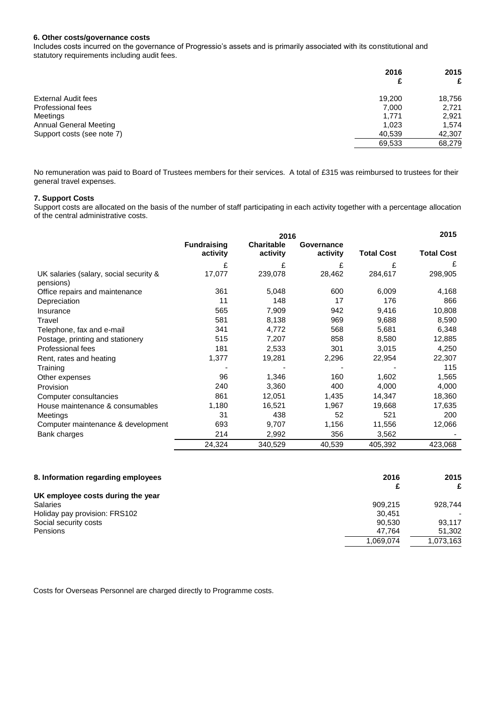#### **6. Other costs/governance costs**

Includes costs incurred on the governance of Progressio's assets and is primarily associated with its constitutional and statutory requirements including audit fees.

|                               | 2016<br>£ | 2015<br>£ |
|-------------------------------|-----------|-----------|
| <b>External Audit fees</b>    | 19.200    | 18,756    |
| Professional fees             | 7.000     | 2,721     |
| Meetings                      | 1.771     | 2,921     |
| <b>Annual General Meeting</b> | 1.023     | 1,574     |
| Support costs (see note 7)    | 40,539    | 42,307    |
|                               | 69,533    | 68,279    |
|                               |           |           |

No remuneration was paid to Board of Trustees members for their services. A total of £315 was reimbursed to trustees for their general travel expenses.

### **7. Support Costs**

Support costs are allocated on the basis of the number of staff participating in each activity together with a percentage allocation of the central administrative costs.

|                                                     | 2016                           |                               |                        |                   | 2015              |
|-----------------------------------------------------|--------------------------------|-------------------------------|------------------------|-------------------|-------------------|
|                                                     | <b>Fundraising</b><br>activity | <b>Charitable</b><br>activity | Governance<br>activity | <b>Total Cost</b> | <b>Total Cost</b> |
|                                                     | £                              | £                             | £                      | £                 | £                 |
| UK salaries (salary, social security &<br>pensions) | 17,077                         | 239,078                       | 28,462                 | 284,617           | 298,905           |
| Office repairs and maintenance                      | 361                            | 5,048                         | 600                    | 6,009             | 4,168             |
| Depreciation                                        | 11                             | 148                           | 17                     | 176               | 866               |
| Insurance                                           | 565                            | 7,909                         | 942                    | 9,416             | 10,808            |
| Travel                                              | 581                            | 8,138                         | 969                    | 9,688             | 8,590             |
| Telephone, fax and e-mail                           | 341                            | 4,772                         | 568                    | 5,681             | 6,348             |
| Postage, printing and stationery                    | 515                            | 7,207                         | 858                    | 8,580             | 12,885            |
| Professional fees                                   | 181                            | 2,533                         | 301                    | 3,015             | 4,250             |
| Rent, rates and heating                             | 1,377                          | 19,281                        | 2,296                  | 22,954            | 22,307            |
| Training                                            |                                |                               |                        |                   | 115               |
| Other expenses                                      | 96                             | 1,346                         | 160                    | 1,602             | 1,565             |
| Provision                                           | 240                            | 3,360                         | 400                    | 4,000             | 4,000             |
| Computer consultancies                              | 861                            | 12,051                        | 1,435                  | 14,347            | 18,360            |
| House maintenance & consumables                     | 1,180                          | 16,521                        | 1,967                  | 19,668            | 17,635            |
| <b>Meetings</b>                                     | 31                             | 438                           | 52                     | 521               | 200               |
| Computer maintenance & development                  | 693                            | 9,707                         | 1,156                  | 11,556            | 12,066            |
| Bank charges                                        | 214                            | 2,992                         | 356                    | 3,562             |                   |
|                                                     | 24,324                         | 340,529                       | 40,539                 | 405,392           | 423,068           |

| 8. Information regarding employees | 2016      | 2015                     |
|------------------------------------|-----------|--------------------------|
|                                    |           | £                        |
| UK employee costs during the year  |           |                          |
| <b>Salaries</b>                    | 909.215   | 928.744                  |
| Holiday pay provision: FRS102      | 30.451    | $\overline{\phantom{0}}$ |
| Social security costs              | 90.530    | 93.117                   |
| Pensions                           | 47.764    | 51,302                   |
|                                    | 1,069,074 | 1,073,163                |

Costs for Overseas Personnel are charged directly to Programme costs.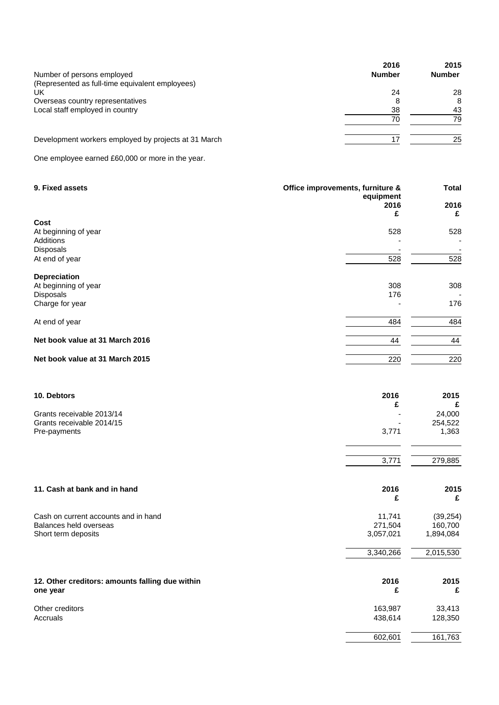| 2016          | 2015          |
|---------------|---------------|
| <b>Number</b> | <b>Number</b> |
|               |               |
| 24            | 28            |
|               | 8             |
| 38            | 43            |
| 70            | 79            |
|               | 25            |
|               |               |

One employee earned £60,000 or more in the year.

| 9. Fixed assets                                                | Office improvements, furniture &<br>equipment<br>2016<br>£ | <b>Total</b><br>2016<br>£ |
|----------------------------------------------------------------|------------------------------------------------------------|---------------------------|
| Cost<br>At beginning of year<br>Additions                      | 528                                                        | 528                       |
| Disposals<br>At end of year                                    | 528                                                        | 528                       |
| Depreciation<br>At beginning of year                           | 308                                                        | 308                       |
| Disposals<br>Charge for year                                   | 176                                                        | 176                       |
| At end of year                                                 | 484                                                        | 484                       |
| Net book value at 31 March 2016                                | 44                                                         | 44                        |
| Net book value at 31 March 2015                                | 220                                                        | 220                       |
| 10. Debtors                                                    | 2016                                                       | 2015<br>£                 |
| Grants receivable 2013/14                                      | £                                                          | 24,000                    |
| Grants receivable 2014/15<br>Pre-payments                      | 3,771                                                      | 254,522<br>1,363          |
|                                                                | 3,771                                                      | 279,885                   |
| 11. Cash at bank and in hand                                   | 2016<br>£                                                  | 2015<br>£                 |
| Cash on current accounts and in hand<br>Balances held overseas | 11,741<br>271,504                                          | (39, 254)<br>160,700      |
| Short term deposits                                            | 3,057,021                                                  | 1,894,084                 |
|                                                                | 3,340,266                                                  | 2,015,530                 |
| 12. Other creditors: amounts falling due within<br>one year    | 2016<br>£                                                  | 2015<br>£                 |
| Other creditors<br>Accruals                                    | 163,987                                                    | 33,413                    |
|                                                                | 438,614<br>602,601                                         | 128,350<br>161,763        |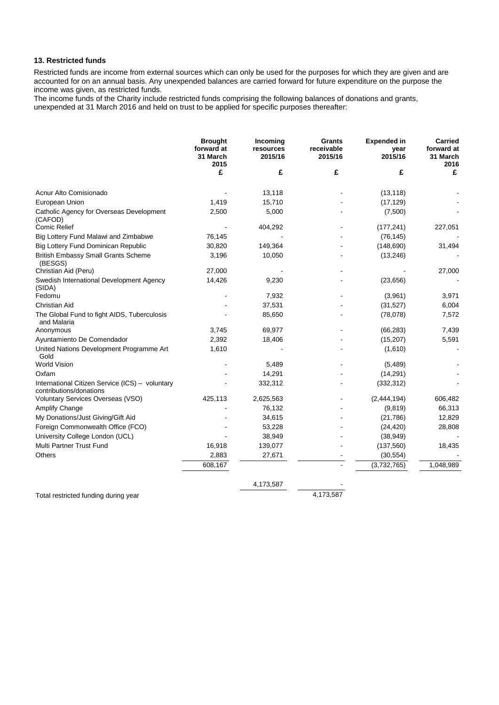### **13. Restricted funds**

Restricted funds are income from external sources which can only be used for the purposes for which they are given and are accounted for on an annual basis. Any unexpended balances are carried forward for future expenditure on the purpose the income was given, as restricted funds.

The income funds of the Charity include restricted funds comprising the following balances of donations and grants, unexpended at 31 March 2016 and held on trust to be applied for specific purposes thereafter:

|                                                                            | <b>Brought</b><br>forward at<br>31 March<br>2015 | Incoming<br>resources<br>2015/16 | <b>Grants</b><br>receivable<br>2015/16 | <b>Expended in</b><br>year<br>2015/16 | <b>Carried</b><br>forward at<br>31 March<br>2016 |
|----------------------------------------------------------------------------|--------------------------------------------------|----------------------------------|----------------------------------------|---------------------------------------|--------------------------------------------------|
|                                                                            | £                                                | £                                | £                                      | £                                     | £                                                |
| Acnur Alto Comisionado                                                     |                                                  | 13,118                           |                                        | (13, 118)                             |                                                  |
| European Union                                                             | 1,419                                            | 15,710                           |                                        | (17, 129)                             |                                                  |
| Catholic Agency for Overseas Development<br>(CAFOD)                        | 2,500                                            | 5,000                            |                                        | (7,500)                               |                                                  |
| <b>Comic Relief</b>                                                        |                                                  | 404,292                          |                                        | (177, 241)                            | 227,051                                          |
| Big Lottery Fund Malawi and Zimbabwe                                       | 76,145                                           |                                  |                                        | (76, 145)                             |                                                  |
| <b>Big Lottery Fund Dominican Republic</b>                                 | 30,820                                           | 149,364                          |                                        | (148, 690)                            | 31,494                                           |
| <b>British Embassy Small Grants Scheme</b><br>(BESGS)                      | 3,196                                            | 10,050                           |                                        | (13, 246)                             |                                                  |
| Christian Aid (Peru)                                                       | 27,000                                           |                                  |                                        |                                       | 27,000                                           |
| Swedish International Development Agency<br>(SIDA)                         | 14,426                                           | 9,230                            |                                        | (23, 656)                             |                                                  |
| Fedomu                                                                     |                                                  | 7,932                            |                                        | (3,961)                               | 3,971                                            |
| <b>Christian Aid</b>                                                       |                                                  | 37,531                           |                                        | (31, 527)                             | 6,004                                            |
| The Global Fund to fight AIDS, Tuberculosis<br>and Malaria                 |                                                  | 85,650                           |                                        | (78,078)                              | 7,572                                            |
| Anonymous                                                                  | 3,745                                            | 69,977                           |                                        | (66, 283)                             | 7,439                                            |
| Ayuntamiento De Comendador                                                 | 2,392                                            | 18,406                           |                                        | (15, 207)                             | 5,591                                            |
| United Nations Development Programme Art<br>Gold                           | 1,610                                            |                                  |                                        | (1,610)                               |                                                  |
| <b>World Vision</b>                                                        |                                                  | 5,489                            |                                        | (5,489)                               |                                                  |
| Oxfam                                                                      |                                                  | 14,291                           |                                        | (14, 291)                             |                                                  |
| International Citizen Service (ICS) - voluntary<br>contributions/donations |                                                  | 332,312                          |                                        | (332, 312)                            |                                                  |
| Voluntary Services Overseas (VSO)                                          | 425,113                                          | 2,625,563                        |                                        | (2,444,194)                           | 606,482                                          |
| Amplify Change                                                             |                                                  | 76,132                           |                                        | (9,819)                               | 66,313                                           |
| My Donations/Just Giving/Gift Aid                                          |                                                  | 34,615                           |                                        | (21,786)                              | 12,829                                           |
| Foreign Commonwealth Office (FCO)                                          |                                                  | 53,228                           |                                        | (24, 420)                             | 28,808                                           |
| University College London (UCL)                                            |                                                  | 38,949                           |                                        | (38, 949)                             |                                                  |
| <b>Multi Partner Trust Fund</b>                                            | 16,918                                           | 139,077                          |                                        | (137, 560)                            | 18,435                                           |
| <b>Others</b>                                                              | 2,883                                            | 27,671                           |                                        | (30, 554)                             |                                                  |
|                                                                            | 608,167                                          |                                  |                                        | (3,732,765)                           | 1,048,989                                        |
|                                                                            |                                                  | 4,173,587                        |                                        |                                       |                                                  |

Total restricted funding during year 4,173,587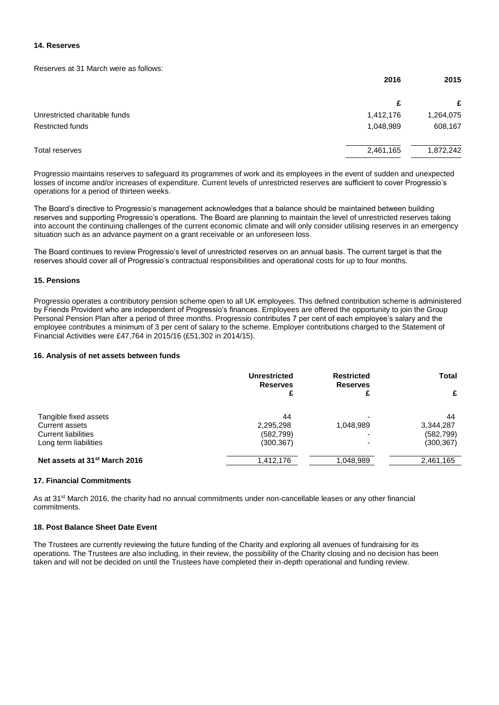### **14. Reserves**

Reserves at 31 March were as follows:

|                               | 2016      | 2015      |
|-------------------------------|-----------|-----------|
|                               | £         | £         |
| Unrestricted charitable funds | 1,412,176 | 1,264,075 |
| <b>Restricted funds</b>       | 1,048,989 | 608,167   |
| Total reserves                | 2,461,165 | 1,872,242 |

Progressio maintains reserves to safeguard its programmes of work and its employees in the event of sudden and unexpected losses of income and/or increases of expenditure. Current levels of unrestricted reserves are sufficient to cover Progressio's operations for a period of thirteen weeks.

The Board's directive to Progressio's management acknowledges that a balance should be maintained between building reserves and supporting Progressio's operations. The Board are planning to maintain the level of unrestricted reserves taking into account the continuing challenges of the current economic climate and will only consider utilising reserves in an emergency situation such as an advance payment on a grant receivable or an unforeseen loss.

The Board continues to review Progressio's level of unrestricted reserves on an annual basis. The current target is that the reserves should cover all of Progressio's contractual responsibilities and operational costs for up to four months.

### **15. Pensions**

Progressio operates a contributory pension scheme open to all UK employees. This defined contribution scheme is administered by Friends Provident who are independent of Progressio's finances. Employees are offered the opportunity to join the Group Personal Pension Plan after a period of three months. Progressio contributes 7 per cent of each employee's salary and the employee contributes a minimum of 3 per cent of salary to the scheme. Employer contributions charged to the Statement of Financial Activities were £47,764 in 2015/16 (£51,302 in 2014/15).

### **16. Analysis of net assets between funds**

|                                           | <b>Unrestricted</b><br><b>Reserves</b> | <b>Restricted</b><br><b>Reserves</b> | Total      |
|-------------------------------------------|----------------------------------------|--------------------------------------|------------|
|                                           |                                        |                                      |            |
| Tangible fixed assets                     | 44                                     |                                      | 44         |
| Current assets                            | 2,295,298                              | 1,048,989                            | 3,344,287  |
| <b>Current liabilities</b>                | (582, 799)                             | $\overline{\phantom{0}}$             | (582, 799) |
| Long term liabilities                     | (300, 367)                             |                                      | (300, 367) |
| Net assets at 31 <sup>st</sup> March 2016 | 1,412,176                              | 1,048,989                            | 2,461,165  |

#### **17. Financial Commitments**

As at 31<sup>st</sup> March 2016, the charity had no annual commitments under non-cancellable leases or any other financial commitments.

#### **18. Post Balance Sheet Date Event**

The Trustees are currently reviewing the future funding of the Charity and exploring all avenues of fundraising for its operations. The Trustees are also including, in their review, the possibility of the Charity closing and no decision has been taken and will not be decided on until the Trustees have completed their in-depth operational and funding review.